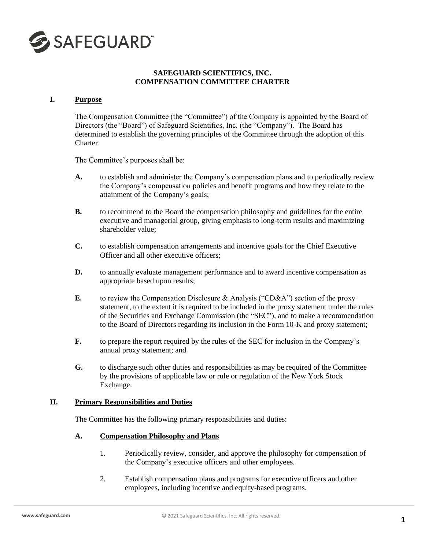

### **SAFEGUARD SCIENTIFICS, INC. COMPENSATION COMMITTEE CHARTER**

#### **I. Purpose**

The Compensation Committee (the "Committee") of the Company is appointed by the Board of Directors (the "Board") of Safeguard Scientifics, Inc. (the "Company"). The Board has determined to establish the governing principles of the Committee through the adoption of this Charter.

The Committee's purposes shall be:

- **A.** to establish and administer the Company's compensation plans and to periodically review the Company's compensation policies and benefit programs and how they relate to the attainment of the Company's goals;
- **B.** to recommend to the Board the compensation philosophy and guidelines for the entire executive and managerial group, giving emphasis to long-term results and maximizing shareholder value;
- **C.** to establish compensation arrangements and incentive goals for the Chief Executive Officer and all other executive officers;
- **D.** to annually evaluate management performance and to award incentive compensation as appropriate based upon results;
- **E.** to review the Compensation Disclosure & Analysis ("CD&A") section of the proxy statement, to the extent it is required to be included in the proxy statement under the rules of the Securities and Exchange Commission (the "SEC"), and to make a recommendation to the Board of Directors regarding its inclusion in the Form 10-K and proxy statement;
- **F.** to prepare the report required by the rules of the SEC for inclusion in the Company's annual proxy statement; and
- **G.** to discharge such other duties and responsibilities as may be required of the Committee by the provisions of applicable law or rule or regulation of the New York Stock Exchange.

#### **II. Primary Responsibilities and Duties**

The Committee has the following primary responsibilities and duties:

#### **A. Compensation Philosophy and Plans**

- 1. Periodically review, consider, and approve the philosophy for compensation of the Company's executive officers and other employees.
- 2. Establish compensation plans and programs for executive officers and other employees, including incentive and equity-based programs.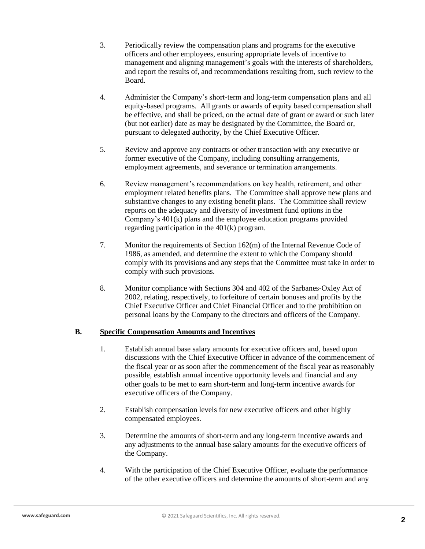- 3. Periodically review the compensation plans and programs for the executive officers and other employees, ensuring appropriate levels of incentive to management and aligning management's goals with the interests of shareholders, and report the results of, and recommendations resulting from, such review to the Board.
- 4. Administer the Company's short-term and long-term compensation plans and all equity-based programs. All grants or awards of equity based compensation shall be effective, and shall be priced, on the actual date of grant or award or such later (but not earlier) date as may be designated by the Committee, the Board or, pursuant to delegated authority, by the Chief Executive Officer.
- 5. Review and approve any contracts or other transaction with any executive or former executive of the Company, including consulting arrangements, employment agreements, and severance or termination arrangements.
- 6. Review management's recommendations on key health, retirement, and other employment related benefits plans. The Committee shall approve new plans and substantive changes to any existing benefit plans. The Committee shall review reports on the adequacy and diversity of investment fund options in the Company's 401(k) plans and the employee education programs provided regarding participation in the 401(k) program.
- 7. Monitor the requirements of Section 162(m) of the Internal Revenue Code of 1986, as amended, and determine the extent to which the Company should comply with its provisions and any steps that the Committee must take in order to comply with such provisions.
- 8. Monitor compliance with Sections 304 and 402 of the Sarbanes-Oxley Act of 2002, relating, respectively, to forfeiture of certain bonuses and profits by the Chief Executive Officer and Chief Financial Officer and to the prohibition on personal loans by the Company to the directors and officers of the Company.

# **B. Specific Compensation Amounts and Incentives**

- 1. Establish annual base salary amounts for executive officers and, based upon discussions with the Chief Executive Officer in advance of the commencement of the fiscal year or as soon after the commencement of the fiscal year as reasonably possible, establish annual incentive opportunity levels and financial and any other goals to be met to earn short-term and long-term incentive awards for executive officers of the Company.
- 2. Establish compensation levels for new executive officers and other highly compensated employees.
- 3. Determine the amounts of short-term and any long-term incentive awards and any adjustments to the annual base salary amounts for the executive officers of the Company.
- 4. With the participation of the Chief Executive Officer, evaluate the performance of the other executive officers and determine the amounts of short-term and any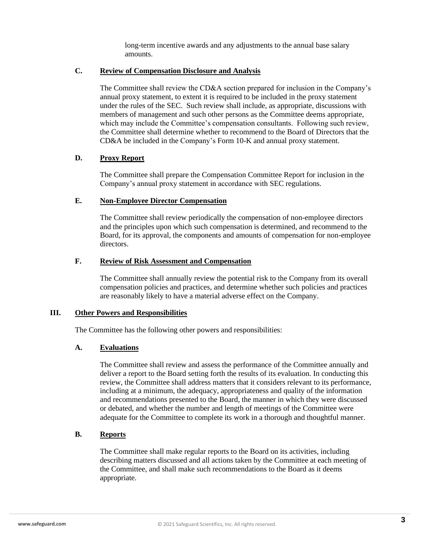long-term incentive awards and any adjustments to the annual base salary amounts.

### **C. Review of Compensation Disclosure and Analysis**

The Committee shall review the CD&A section prepared for inclusion in the Company's annual proxy statement, to extent it is required to be included in the proxy statement under the rules of the SEC. Such review shall include, as appropriate, discussions with members of management and such other persons as the Committee deems appropriate, which may include the Committee's compensation consultants. Following such review, the Committee shall determine whether to recommend to the Board of Directors that the CD&A be included in the Company's Form 10-K and annual proxy statement.

## **D. Proxy Report**

The Committee shall prepare the Compensation Committee Report for inclusion in the Company's annual proxy statement in accordance with SEC regulations.

## **E. Non-Employee Director Compensation**

The Committee shall review periodically the compensation of non-employee directors and the principles upon which such compensation is determined, and recommend to the Board, for its approval, the components and amounts of compensation for non-employee directors.

## **F. Review of Risk Assessment and Compensation**

The Committee shall annually review the potential risk to the Company from its overall compensation policies and practices, and determine whether such policies and practices are reasonably likely to have a material adverse effect on the Company.

## **III. Other Powers and Responsibilities**

The Committee has the following other powers and responsibilities:

## **A. Evaluations**

The Committee shall review and assess the performance of the Committee annually and deliver a report to the Board setting forth the results of its evaluation. In conducting this review, the Committee shall address matters that it considers relevant to its performance, including at a minimum, the adequacy, appropriateness and quality of the information and recommendations presented to the Board, the manner in which they were discussed or debated, and whether the number and length of meetings of the Committee were adequate for the Committee to complete its work in a thorough and thoughtful manner.

# **B. Reports**

The Committee shall make regular reports to the Board on its activities, including describing matters discussed and all actions taken by the Committee at each meeting of the Committee, and shall make such recommendations to the Board as it deems appropriate.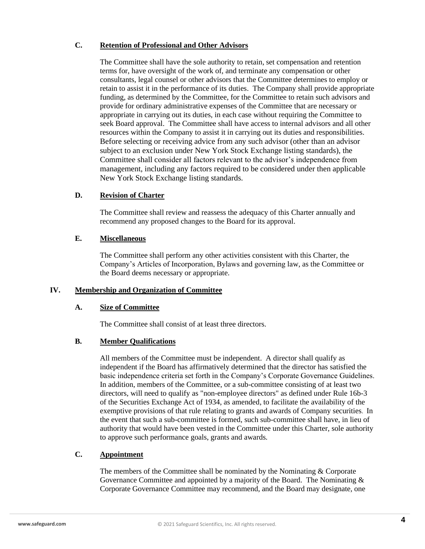# **C. Retention of Professional and Other Advisors**

The Committee shall have the sole authority to retain, set compensation and retention terms for, have oversight of the work of, and terminate any compensation or other consultants, legal counsel or other advisors that the Committee determines to employ or retain to assist it in the performance of its duties. The Company shall provide appropriate funding, as determined by the Committee, for the Committee to retain such advisors and provide for ordinary administrative expenses of the Committee that are necessary or appropriate in carrying out its duties, in each case without requiring the Committee to seek Board approval. The Committee shall have access to internal advisors and all other resources within the Company to assist it in carrying out its duties and responsibilities. Before selecting or receiving advice from any such advisor (other than an advisor subject to an exclusion under New York Stock Exchange listing standards), the Committee shall consider all factors relevant to the advisor's independence from management, including any factors required to be considered under then applicable New York Stock Exchange listing standards.

## **D. Revision of Charter**

The Committee shall review and reassess the adequacy of this Charter annually and recommend any proposed changes to the Board for its approval.

## **E. Miscellaneous**

The Committee shall perform any other activities consistent with this Charter, the Company's Articles of Incorporation, Bylaws and governing law, as the Committee or the Board deems necessary or appropriate.

## **IV. Membership and Organization of Committee**

## **A. Size of Committee**

The Committee shall consist of at least three directors.

## **B. Member Qualifications**

All members of the Committee must be independent. A director shall qualify as independent if the Board has affirmatively determined that the director has satisfied the basic independence criteria set forth in the Company's Corporate Governance Guidelines. In addition, members of the Committee, or a sub-committee consisting of at least two directors, will need to qualify as "non-employee directors" as defined under Rule 16b-3 of the Securities Exchange Act of 1934, as amended, to facilitate the availability of the exemptive provisions of that rule relating to grants and awards of Company securities. In the event that such a sub-committee is formed, such sub-committee shall have, in lieu of authority that would have been vested in the Committee under this Charter, sole authority to approve such performance goals, grants and awards.

# **C. Appointment**

The members of the Committee shall be nominated by the Nominating & Corporate Governance Committee and appointed by a majority of the Board. The Nominating & Corporate Governance Committee may recommend, and the Board may designate, one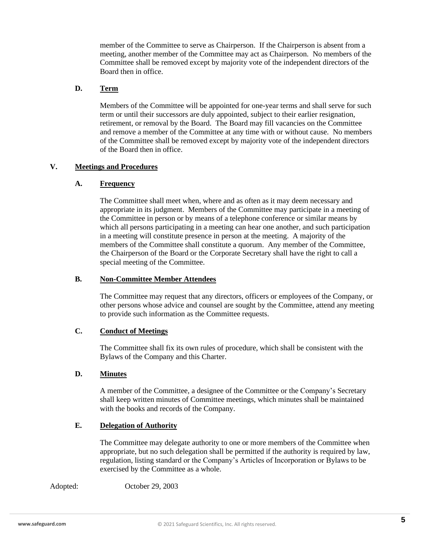member of the Committee to serve as Chairperson. If the Chairperson is absent from a meeting, another member of the Committee may act as Chairperson. No members of the Committee shall be removed except by majority vote of the independent directors of the Board then in office.

# **D. Term**

Members of the Committee will be appointed for one-year terms and shall serve for such term or until their successors are duly appointed, subject to their earlier resignation, retirement, or removal by the Board. The Board may fill vacancies on the Committee and remove a member of the Committee at any time with or without cause. No members of the Committee shall be removed except by majority vote of the independent directors of the Board then in office.

#### **V. Meetings and Procedures**

#### **A. Frequency**

The Committee shall meet when, where and as often as it may deem necessary and appropriate in its judgment. Members of the Committee may participate in a meeting of the Committee in person or by means of a telephone conference or similar means by which all persons participating in a meeting can hear one another, and such participation in a meeting will constitute presence in person at the meeting. A majority of the members of the Committee shall constitute a quorum. Any member of the Committee, the Chairperson of the Board or the Corporate Secretary shall have the right to call a special meeting of the Committee.

#### **B. Non-Committee Member Attendees**

The Committee may request that any directors, officers or employees of the Company, or other persons whose advice and counsel are sought by the Committee, attend any meeting to provide such information as the Committee requests.

#### **C. Conduct of Meetings**

The Committee shall fix its own rules of procedure, which shall be consistent with the Bylaws of the Company and this Charter.

## **D. Minutes**

A member of the Committee, a designee of the Committee or the Company's Secretary shall keep written minutes of Committee meetings, which minutes shall be maintained with the books and records of the Company.

#### **E. Delegation of Authority**

The Committee may delegate authority to one or more members of the Committee when appropriate, but no such delegation shall be permitted if the authority is required by law, regulation, listing standard or the Company's Articles of Incorporation or Bylaws to be exercised by the Committee as a whole.

Adopted: October 29, 2003